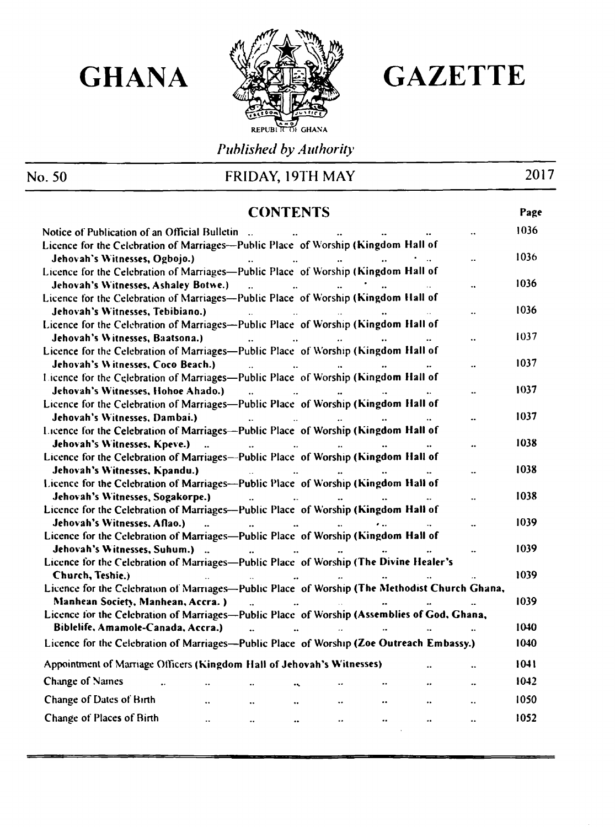

# GHANA **SEER GAZETTE**

# No. 50

# FRIDAY, 19TH MAY 2017

<u> Tanzania – Amerika Alemania a Santana a Santana a Santana a Tanzania a Santana a Tanzania a Tanzania a Tanza</u>

*Published by Authority*

| <b>CONTENTS</b>                                                                                                                                                                                                                                                                                                                                           |  |      |  |  |  |
|-----------------------------------------------------------------------------------------------------------------------------------------------------------------------------------------------------------------------------------------------------------------------------------------------------------------------------------------------------------|--|------|--|--|--|
| Notice of Publication of an Official Bulletin                                                                                                                                                                                                                                                                                                             |  | 1036 |  |  |  |
| Licence for the Celebration of Marriages—Public Place of Worship (Kingdom Hall of                                                                                                                                                                                                                                                                         |  |      |  |  |  |
| Jehovah's Witnesses, Ogbojo.)<br>$\mathbf{r}$<br>$\sim 10^{-10}$<br><b><i>Committee Committee States</i></b>                                                                                                                                                                                                                                              |  | 1036 |  |  |  |
| Licence for the Celebration of Marriages—Public Place of Worship (Kingdom Hall of                                                                                                                                                                                                                                                                         |  |      |  |  |  |
| Jehovah's Witnesses, Ashaley Botwe.)<br>$\sim$<br>$\ddot{\phantom{a}}$                                                                                                                                                                                                                                                                                    |  | 1036 |  |  |  |
| Licence for the Celebration of Marriages—Public Place of Worship (Kingdom Hall of                                                                                                                                                                                                                                                                         |  |      |  |  |  |
| Jehovah's Witnesses, Tebibiano.)<br><b>State State</b><br><b><i>Committee States States</i></b>                                                                                                                                                                                                                                                           |  | 1036 |  |  |  |
| Licence for the Celebration of Marriages-Public Place of Worship (Kingdom Hall of                                                                                                                                                                                                                                                                         |  |      |  |  |  |
| Jehovah's Witnesses, Baatsona.)                                                                                                                                                                                                                                                                                                                           |  | 1037 |  |  |  |
| Licence for the Celebration of Marriages—Public Place of Worship (Kingdom Hall of                                                                                                                                                                                                                                                                         |  |      |  |  |  |
| Jehovah's Witnesses, Coco Beach.)<br>$\sim 10^{-1}$<br>$\bullet\bullet$                                                                                                                                                                                                                                                                                   |  | 1037 |  |  |  |
| Licence for the Celebration of Marriages—Public Place of Worship (Kingdom Hall of                                                                                                                                                                                                                                                                         |  |      |  |  |  |
| Jehovah's Witnesses, Hohoe Ahado.)                                                                                                                                                                                                                                                                                                                        |  | 1037 |  |  |  |
| Licence for the Celebration of Marriages-Public Place of Worship (Kingdom Hall of                                                                                                                                                                                                                                                                         |  |      |  |  |  |
| Jehovah's Witnesses, Dambai.)                                                                                                                                                                                                                                                                                                                             |  | 1037 |  |  |  |
| Licence for the Celebration of Marriages-Public Place of Worship (Kingdom Hall of                                                                                                                                                                                                                                                                         |  |      |  |  |  |
| Jehovah's Witnesses, Kpeve.)<br>$\mathbf{r}$                                                                                                                                                                                                                                                                                                              |  | 1038 |  |  |  |
| Licence for the Celebration of Marriages--Public Place of Worship (Kingdom Hall of                                                                                                                                                                                                                                                                        |  |      |  |  |  |
| Jehovah's Witnesses, Kpandu.)                                                                                                                                                                                                                                                                                                                             |  | 1038 |  |  |  |
| Licence for the Celebration of Marriages—Public Place of Worship (Kingdom Hall of                                                                                                                                                                                                                                                                         |  |      |  |  |  |
| Jehovah's Witnesses, Sogakorpe.)                                                                                                                                                                                                                                                                                                                          |  | 1038 |  |  |  |
| Licence for the Celebration of Marriages—Public Place of Worship (Kingdom Hall of                                                                                                                                                                                                                                                                         |  |      |  |  |  |
| Jehovah's Witnesses, Aflao.)<br>$\mathbf{A} \mathbf{A}$ and $\mathbf{A} \mathbf{A}$ and $\mathbf{A} \mathbf{A}$<br>$\bullet\bullet$ . The contract of the contract of the contract of the contract of the contract of the contract of the contract of the contract of the contract of the contract of the contract of the contract of the contract of the |  | 1039 |  |  |  |
| Licence for the Celebration of Marriages—Public Place of Worship (Kingdom Hall of                                                                                                                                                                                                                                                                         |  |      |  |  |  |
| Jehovah's Witnesses, Suhum.)                                                                                                                                                                                                                                                                                                                              |  | 1039 |  |  |  |
| Lieunes for the Calchrotion of Morrisone Dublie Place of Worchin (The Divine Healer's                                                                                                                                                                                                                                                                     |  |      |  |  |  |

| Licence for the Celebration of Marriages—Public Place of Worship (The Divine Healer's         |                     |               |                        |                     |                  |                     |                     |      |
|-----------------------------------------------------------------------------------------------|---------------------|---------------|------------------------|---------------------|------------------|---------------------|---------------------|------|
| Church, Teshie.)                                                                              |                     |               |                        |                     |                  | $\bullet$ $\bullet$ | $\bullet$ $\bullet$ | 1039 |
| Licence for the Celebration of Marriages—Public Place of Worship (The Methodist Church Ghana, |                     |               |                        |                     |                  |                     |                     |      |
| Manhean Society, Manhean, Accra.)                                                             |                     | $\sim$        | $\bullet\bullet$       |                     |                  | $\bullet$ $\bullet$ |                     | 1039 |
| Licence for the Celebration of Marriages—Public Place of Worship (Assemblies of God, Ghana,   |                     |               |                        |                     |                  |                     |                     |      |
| Biblelife, Amamole-Canada, Accra.)                                                            |                     |               | $\bullet\,\bullet$     |                     |                  |                     | $\bullet\bullet$    | 1040 |
| Licence for the Celebration of Marriages—Public Place of Worship (Zoe Outreach Embassy.)      |                     |               |                        |                     |                  |                     |                     | 1040 |
| Appointment of Marriage Officers (Kingdom Hall of Jehovah's Witnesses)                        |                     |               |                        |                     |                  | $\bullet$           | $\bullet\bullet$    | 1041 |
| <b>Change of Names</b>                                                                        | $\sim$ $\sim$       |               | $\bullet$ $\bullet$    |                     |                  | $\bullet\bullet$    | $\bullet$ $\bullet$ | 1042 |
| <b>Change of Dates of Birth</b>                                                               | $\bullet$ $\bullet$ | $\sim$ $\sim$ | $\bullet$ $\bullet$    | $\bullet$ $\bullet$ | $\bullet\bullet$ | $\bullet$ $\bullet$ | $\sim$ $\sim$       | 1050 |
| <b>Change of Places of Birth</b>                                                              | $\bullet$           | $\sim$ $\sim$ | $\bullet$<br>$\bullet$ | $\bullet$ $\bullet$ | $+ -$            | $\bullet$ $\bullet$ | $\sim$ $\sim$       | 1052 |
|                                                                                               |                     |               |                        |                     |                  |                     |                     |      |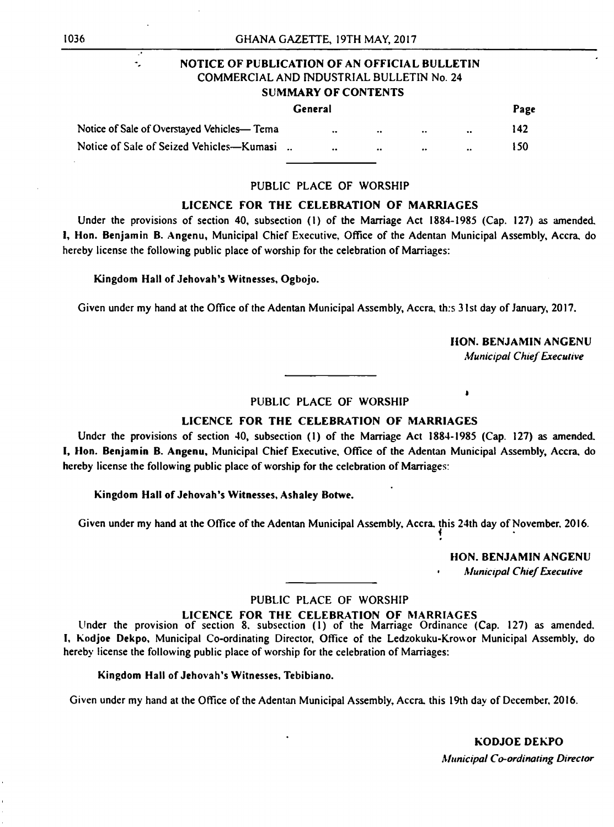# NOTICE OF PUBLICATION OF AN OFFICIAL BULLETIN COMMERCIAL AND INDUSTRIAL BULLETIN No. 24 SUMMARY OF CONTENTS

| General                                     |  |                     |               |             |                     |     |
|---------------------------------------------|--|---------------------|---------------|-------------|---------------------|-----|
| Notice of Sale of Overstayed Vehicles— Tema |  | $\bullet$ $\bullet$ | $\sim$ $\sim$ | $\sim 0.01$ | $\bullet$ $\bullet$ | 142 |
| Notice of Sale of Seized Vehicles—Kumasi    |  | $\sim$ $\sim$       | $\bullet$     | <b>COL</b>  | $\bullet$ $\bullet$ | 150 |

# PUBLIC PLACE OF WORSHIP

# LICENCE FOR THE CELEBRATION OF MARRIAGES

Under the provisions of section 40, subsection (1) of the Marriage Act 1884-1985 (Cap. 127) as amended, 1, Hon. Benjamin B. Angenu, Municipal Chief Executive, Office of the Adentan Municipal Assembly, Accra, do hereby license the following public place of worship for the celebration of Marriages:

Kingdom Hall of Jehovah's Witnesses, Ogbojo.

Given under my hand at the Office of the Adentan Municipal Assembly, Accra, th:s 31st day of January, 2017.

HON. BENJAMIN ANGENU

*Municipal Chief Executive*

# PUBLIC PLACE OF WORSHIP

# LICENCE FOR THE CELEBRATION OF MARRIAGES

Under the provisions of section 40, subsection (1) of the Marriage Act 1884-1985 (Cap. 127) as amended. I, Hon. Benjamin B. Angenu, Municipal Chief Executive, Office of the Adentan Municipal Assembly, Accra, do hereby license the following public place of worship for the celebration of Marriages:

# Kingdom Hall of Jehovah's Witnesses, Ashaley Botwe.

Given under my hand at the Office of the Adentan Municipal Assembly, Accra, this 24th day of November. 2016. *i*

*0*

 $\begin{array}{c} \bullet \\ \bullet \end{array}$ 

HON. BENJAMIN ANGENU

 $\mathcal{L}^{\bullet}$  $\overline{\phantom{a}}$ 

• *Municipal Chief Executive*

# PUBLIC PLACE OF WORSHIP

# LICENCE FOR THE CELEBRATION OF MARRIAGES

Under the provision of section 8. subsection (1) of the Marriage Ordinance (Cap. 127) as amended. I, Kodjoe Dekpo, Municipal Co-ordinating Director, Office of the Ledzokuku-Krowor Municipal Assembly, do hereby license the following public place of worship for the celebration of Marriages:

# Kingdom Hall of Jehovah's Witnesses, Tebibiano.

Given under my hand at the Office of the Adentan Municipal Assembly, Accra, this 19th day of December, 2016.

KODJOE DEKPO *Municipal Co-ordinating Director*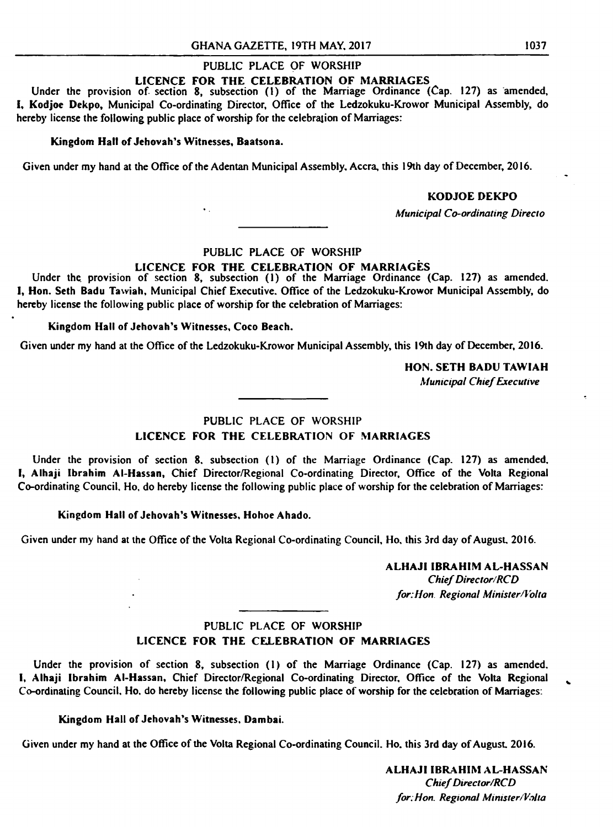# PUBLIC PLACE OF WORSHIP

# LICENCE FOR THE CELEBRATION OF MARRIAGES

Under the provision of section 8, subsection (1) of the Marriage Ordinance (Cap. 127) as amended, I, Kodjoe Dekpo, Municipal Co-ordinating Director, Office of the Ledzokuku-Krowor Municipal Assembly, do hereby license the following public place of worship for the celebration of Marriages:

# Kingdom Hall of Jehovah's Witnesses, Baatsona.

 $\Psi_{\rm{max}}$ 

Under the provision of section 8, subsection (1) of the Marriage Ordinance (Cap. 127) as amended. I, Hon. Seth Badu Tawiah, Municipal Chief Executive. Office of the Ledzokuku-Krowor Municipal Assembly, do hereby license the following public place of worship for the celebration of Marriages:

Given under my hand at the Office of the Adentan Municipal Assembly, Accra, this 19th day of December, 2016.

# KODJOE DEKPO

*Municipal Co-ordinating Directo*

# PUBLIC PLACE OF WORSHIP

# LICENCE FOR THE CELEBRATION OF MARRIAGES

# Kingdom Hall of Jehovah's Witnesses, Coco Beach.

Given under my hand at the Office of the Ledzokuku-Krowor Municipal Assembly, this 19th day of December, 2016.

HON. SETH BADU TAWIAH

*Municipal Chief Executive*

 $\bullet$ 

 $\bullet$ 

# PUBLIC PLACE OF WORSHIP LICENCE FOR THE CELEBRATION OF MARRIAGES

Under the provision of section 8. subsection (1) of the Marriage Ordinance (Cap. 127) as amended. I, Alhaji Ibrahim Al-Hassan, Chief Director/Regional Co-ordinating Director, Office of the Volta Regional Co-ordinating Council. Ho, do hereby license the following public place of worship for the celebration of Marriages:

# Kingdom Hall of Jehovah's Witnesses, Hohoe Ahado.

Given under my hand at the Office of the Volta Regional Co-ordinating Council, Ho, this 3rd day of August. 2016.

### ALHAJI IBRAHIM AL-HASSAN

*Chief Director/RCD for. Hon. Regional Minister/Volta*

# PUBLIC PLACE OF WORSHIP LICENCE FOR THE CELEBRATION OF MARRIAGES

Under the provision of section 8, subsection (1) of the Marriage Ordinance (Cap. 127) as amended. I, Alhaji Ibrahim Al-Hassan, Chief Director/Regional Co-ordinating Director, Office of the Volta Regional Co-ordinating Council. Ho. do hereby license the following public place of worship for the celebration of Marriages:

Kingdom Hall of Jehovah's Witnesses. Dambai.

Given under my hand at the Office of the Volta Regional Co-ordinating Council. Ho. this 3rd day of August. 2016.

ALHAJI IBRAHIM AL-HASSAN *Chief Director/RCD for;Hon. Regional Minister/Volta*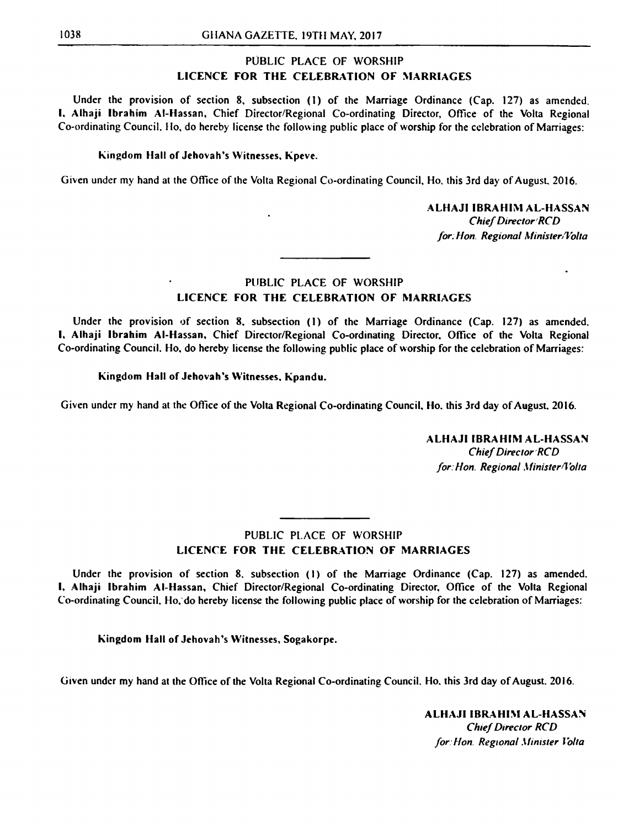# PUBLIC PLACE OF WORSHIP LICENCE FOR THE CELEBRATION OF MARRIAGES

Under the provision of section 8, subsection (1) of the Marriage Ordinance (Cap. 127) as amended. I. Alhaji Ibrahim Al-Hassan, Chief Director/Regional Co-ordinating Director, Office of the Volta Regional Co-ordinating Council, Ho, do hereby license the follow ing public place of worship for the celebration of Marriages:

# Kingdom Hall of Jehovah's Witnesses, Kpeve.

Given under my hand at the Office of the Volta Regional Co-ordinating Council, Ho, this 3rd day of August. 2016.

# ALHAJI IBRAHIM AL-HASSAN

*Chief Director RCD for; Hon. Regional Minister/Volta*

# PUBLIC PLACE OF WORSHIP LICENCE FOR THE CELEBRATION OF MARRIAGES

Under the provision of section 8, subsection (1) of the Marriage Ordinance (Cap. 127) as amended. I, Alhaji Ibrahim Al-Hassan, Chief Director/Regional Co-ordinating Director. Office of the Volta Regional Co-ordinating Council. Ho, do hereby license the following public place of worship for the celebration of Marriages:

Kingdom Hall of Jehovah's Witnesses, Kpandu.

Given under my hand at the Office of the Volta Regional Co-ordinating Council, Ho. this 3rd day of August. 2016.

ALHAJI IBRAHIM AL-HASSAN *Chief Director RCD*

*for: Hon. Regional Minister'Volta*

PUBLIC PLACE OF WORSHIP LICENCE FOR THE CELEBRATION OF MARRIAGES

Under the provision of section 8, subsection (I) of the Marriage Ordinance (Cap. 127) as amended. I, Alhaji Ibrahim Al-Hassan, Chief Director/Regional Co-ordinating Director, Office of the Volta Regional Co-ordinating Council. Ho. do hereby license the following public place of worship for the celebration of Marriages:

# Kingdom Hall of Jehovah's Witnesses, Sogakorpe.

Given under my hand at the Office of the Volta Regional Co-ordinating Council. Ho. this 3rd day of August. 2016.

# ALHAJI IBRAHIM AL-HASSAN *Chief Director RCD for Hon. Regional Minister Volta*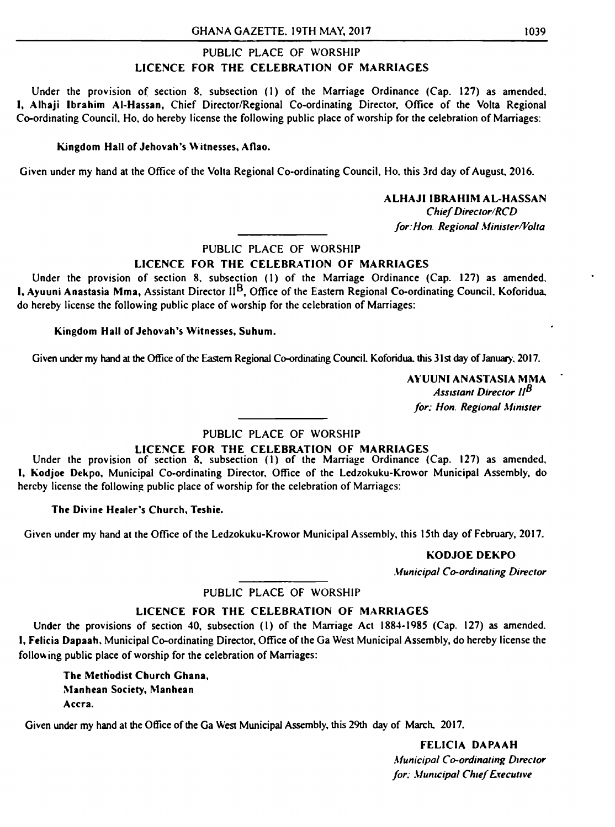# PUBLIC PLACE OF WORSHIP LICENCE FOR THE CELEBRATION OF MARRIAGES

Under the provision of section 8, subsection (1) of the Marriage Ordinance (Cap. 127) as amended. I, Alhaji Ibrahim Al-Hassan, Chief Director/Regional Co-ordinating Director, Office of the Volta Regional Co-ordinating Council, Ho, do hereby license the following public place of worship for the celebration of Marriages:

# Kingdom Hall of Jehovah's Witnesses, Aflao.

Given under my hand at the Office of the Volta Regional Co-ordinating Council, Ho. this 3rd day of August, 2016.

ALHAJI IBRAHIM AL-HASSAN

*Chief Director/RCD for: Hon. Regional Mimster/Volta*

# PUBLIC PLACE OF WORSHIP

# LICENCE FOR THE CELEBRATION OF MARRIAGES

Under the provision of section 8, subsection (I) of the Marriage Ordinance (Cap. 127) as amended. **I, Ayuuni Anastasia Mma, Assistant Director II<sup>B</sup>, Office of the Eastern Regional Co-ordinating Council. Koforidua.** do hereby license the following public place of worship for the celebration of Marriages:

Kingdom Hall of Jehovah's Witnesses, Suhum.

Given under my hand at the Office of the Eastern Regional Co-ordinating Council. Koforidua. this 31st day of January. 2017.

AYUUNI ANASTASIA MMA *Assistant Director II*<sup>*B*</sup> *for: Hon. Regional Minister*

# PUBLIC PLACE OF WORSHIP

# LICENCE FOR THE CELEBRATION OF MARRIAGES

Under the provision of section 8, subsection (1) of the Marriage Ordinance (Cap. 127) as amended, I, Kodjoe Dekpo, Municipal Co-ordinating Director, Office of the Ledzokuku-Krowor Municipal Assembly, do hereby license the following public place of worship for the celebration of Marriages:

The Divine Healer's Church, Teshie.

Given under my hand at the Office of the Ledzokuku-Krowor Municipal Assembly, this 15th day of February, 2017.

KODJOE DEKPO

*Municipal Co-ordinating Director*

# PUBLIC PLACE OF WORSHIP

# LICENCE FOR THE CELEBRATION OF MARRIAGES

Under the provisions of section 40, subsection (I) of the Marriage Act 1884-1985 (Cap. 127) as amended. I, Felicia Dapaah, Municipal Co-ordinating Director, Office of the Ga West Municipal Assembly, do hereby license the following public place of worship for the celebration of Marriages:

The Methodist Church Ghana, Manhean Society, Manhean Accra.

> FELICIA DAPAAH *Municipal Co-ordinating Director for*. *Municipal Chief Executive*

Given under my hand at the Office of the Ga West Municipal Assembly, this 29th day of March, 2017.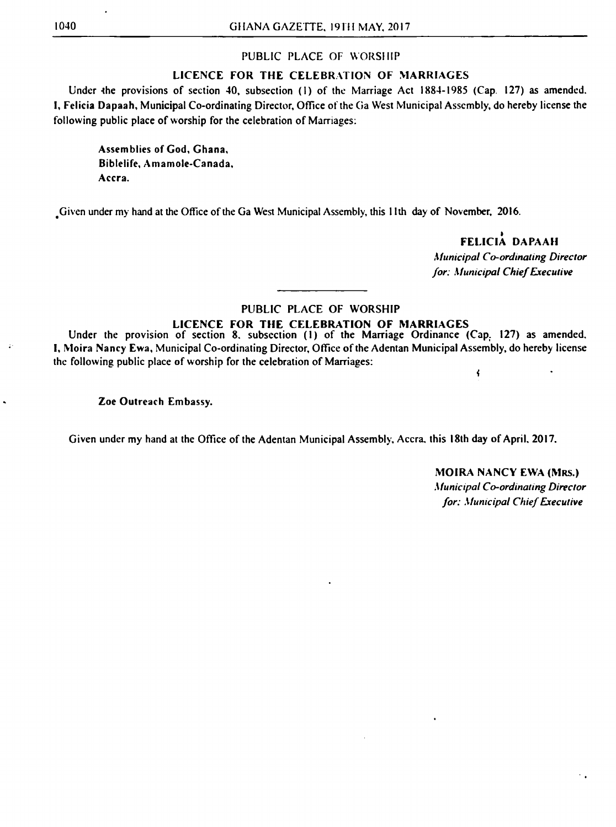# PUBLIC PLACE OF WORSHIP

# LICENCE FOR THE CELEBRATION OF MARRIAGES

Under the provisions of section 40, subsection (1) of the Marriage Act 1884-1985 (Cap. 127) as amended. I, Felicia Dapaah, Municipal Co-ordinating Director, Office of the Ga West Municipal Assembly, do hereby license the following public place of worship for the celebration of Marriages:

Assemblies of God, Ghana, Biblelife, Amamole-Canada, Accra.

Given under my hand at the Office of the Ga West Municipal Assembly, this 11th day of November, 2016.

Under the provision of section 8, subsection (1) of the Marriage Ordinance (Cap. 127) as amended. I, Moira Nancy Ewa, Municipal Co-ordinating Director, Office of the Adentan Municipal Assembly, do hereby license the following public place of worship for the celebration of Marriages:

FELICIA DAPAAH

*Municipal Co-ordinating Director for: Municipal Chief Executive*

 $\left\vert \cdot \right\rangle$ 

# PUBLIC PLACE OF WORSHIP

# LICENCE FOR THE CELEBRATION OF MARRIAGES

# Zoe Outreach Embassy.

Given under my hand at the Office of the Adentan Municipal Assembly, Accra, this 18th day of April. 2017.

MOIRA NANCY EWA (MRS.) *Municipal Co-ordinating Director for: Municipal Chief Executive*

 $\mathbb{R}^d$ 

 $\mathcal{L}^{\mathcal{L}}(\mathbf{0},\mathbf{0})$  . The  $\mathcal{L}^{\mathcal{L}}(\mathbf{0},\mathbf{0})$  $\mathcal{L}(\mathcal{L})$  and  $\mathcal{L}(\mathcal{L})$  and  $\mathcal{L}(\mathcal{L})$  and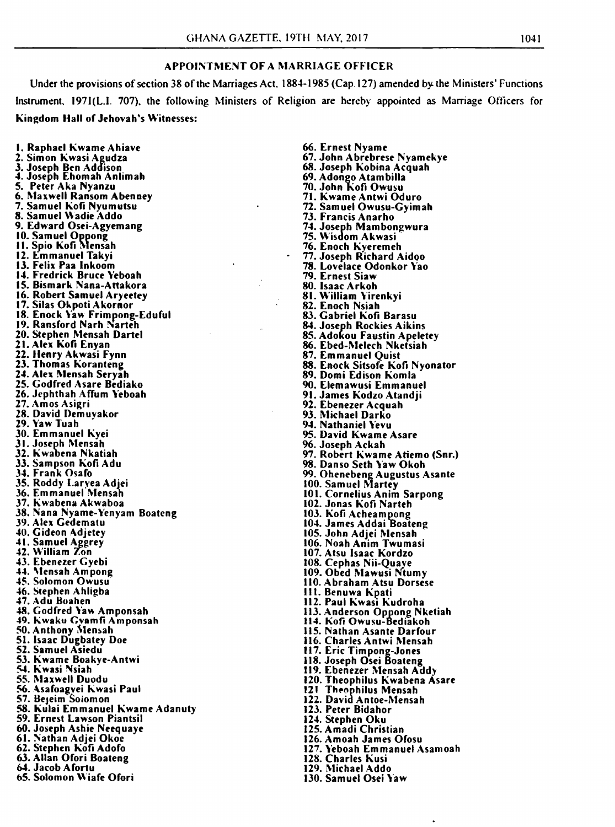### APPOINTMENT OF A MARRIAGE OFFICER

Under the provisions of section 38 of the Marriages Act. 1884-1985 (Cap. 127) amended by the Ministers' Functions Instrument. I97I(L.I. 707), the following Ministers of Religion are hereby appointed as Marriage Officers for Kingdom Hall of Jehovah's Witnesses:

1. Raphael Kwame Ahiave 2. Simon Kwasi Agudza 3. Joseph Ben Addison 4. Joseph Ehomah Anlimah 5. Peter Aka Nyanzu 6. Maxwell Ransom Abenney 7. Samuel Kofi Nvumutsu 8. Samuel Wadie Addo 9. Edward Osei-Agyemang 10. Samuel Oppong 11. Spio Kofi Mensah 12. Emmanuel Takyi 13. Felix Paa Inkoom 14. Fredrick Bruce Yeboah 15. Bismark Nana-Attakora 16. Robert Samuel Aryeetey 17. Silas Okpoti Akornor 18. Enock Yaw Frimpong-Eduful 19. Ransford Narh Narteh 20. Stephen Mensah Dartel 21. Alex Kofi Enyan 22. Henry Akwasi Fynn 23. Thomas Koranteng 24. Alex Mensah Seryah 25. Godfred Asare Bediako 26. Jephthah Affum Yeboah 27. Amos Asigri 28. David Demuyakor 29. Yaw Tuah 30. Emmanuel Kyei 31. Joseph Mensah 32. Kwabena Nkatiah 33. Sampson Kofi Adu 34. Frank Osafo 35. Roddy Larvea Adjei 36. Emmanuel Mensah 37. Kwabena Akwaboa 38. Nana Nyame-Yenyam Boatcng 39. Alex Gedematu 40. Gideon Adjetey 41. Samuel Aggrey 42. William Zon

43. Ebenezer Gyebi 44. Mensah Ampong 45. Solomon Owusu 46. Stephen Ahligba 47. Adu Boahen 48. Godfred Yaw Amponsah 49. Kwaku Gvamfi Amponsah 50. Anthony Mensah 51. Isaac Dugbatey Doc 52. Samuel Asiedu 53. Kwame Boakye-Antwi 54. Kwasi Nsiah 55. Maxwell Duodu 56. Asafoagvei Kwasi Paul 57. Bejeim Soiomon 58. Kulai Emmanuel Kwame Adanuty 59. Ernest Lawson Piantsil 60. Joseph Ashie Neequaye 61. Nathan Adjei Okoc 62. Stephen Kofi Adofo 63. Allan Ofori Boateng 64. Jacob Afortu 65. Solomon Wiafe Ofori

66. Ernest Nyame 67. John Abrebrese Nyamekye 68. Joseph Kobina Acquah 69. Adongo Atambilla 70. John Kofi Owusu 71. Kwame Antwi Oduro 72. Samuel Owusu-Gyimah 73. Francis Anarho 74. Joseph Mambongwura 75. Wisdom Akwasi 76. Enoch Kyeremeh 77. Joseph Richard Aidoo 78. Lovelace Odonkor Yao 79. Ernest Siaw 80. Isaac Arkoh 81. William Yirenkyi 82. Enoch Nsiah 83. Gabriel Kofi Barasu 84. Joseph Rockies Aikins 85. Adokou Faustin Apeletey 86. Ebed-Melech Nketsiah 87. Emmanuel Quist 88. Enock Sitsofe Kofi Nyonator 89. Domi Edison Komla 90. Elemawusi Emmanuel 91. James Kodzo Atandji 92. Ebenezer Acquah 93. Michael Darko 94. Nathaniel Yevu 95. David Kwame Asare 96. Joseph Ackah 97. Robert Kwame Atiemo (Snr.) 98. Danso Seth Yaw Okoh 99. Ohenebeng Augustus Asante 100. Samuel Martey 101. Cornelius Anim Sarpong 102. Jonas Kofi Narteh 103. Kofi Acheampong 104. James Addai Boateng 105. John Adjei Mensah 106. Noah Anim Twumasi 107. Atsu Isaac Kordzo 108. Cephas Nii-Quaye 109. Obed Mawusi Ntumy 110. Abraham Atsu Dorsese 111. Benuwa Kpati 112. Paul Kwasi Kudroha 113. Anderson Oppong Nketiah 114. Kofi Owusu-Bediakoh 115. Nathan Asante Darfour 116. Charles Antwi Mensah 117. Eric Timpong-Jones 118. Joseph Osei Boateng 119. Ebenezer Mensah Addy 120. Theophilus Kwabena Asare 121 Theophilus Mensah 122. David Antoe-Mensah 123. Peter Bidahor 124. Stephen Oku 125. Amadi Christian 126. Amoah James Ofosu 127. Yeboah Emmanuel Asamoah 128. Charles Kusi 129. Michael Addo 130. Samuel Osei Yaw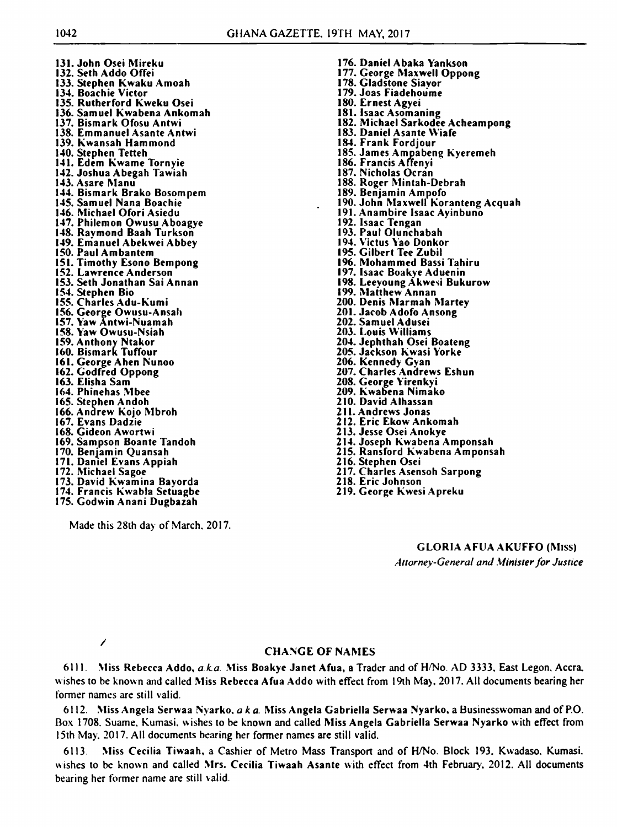131. John Osei Mireku 132. Seth Addo Offei 133. Stephen Kwaku Amoah 134. Boachie Victor 135. Rutherford Kweku Osei 136. Samuel Kwabena Ankomah 137. Bismark Ofosu Antwi 138. Emmanuel Asante Antwi 139. Kwansah Hammond 140. Stephen Tetteh 141. Edem Kwame Tornyie 142. Joshua Abegah Tawiah 143. Asare Manu 144. Bismark Brako Bosompem 145. Samuel Nana Boachie 146. Michael Ofori Asiedu 147. Philemon Owusu Aboagye 148. Raymond Baah Turkson 149. Emanuel Abekwei Abbey 150. Paul Ambantem 151. Timothy Esono Bempong 152. Lawrence Anderson 153. Seth Jonathan Sai Annan 154. Stephen Bio 155. Charles Adu-Kumi 156. George Owusu-Ansah 157. Yaw Antwi-Nuamah 158. Yaw Owusu-Nsiah 159. Anthony Ntakor 160. Bismark Tuffour 161. George Ahen Nunoo 162. Godfred Oppong 163. Elisha Sam 164. Phinehas Mbee 165. Stephen Andoh 166. Andrew Kojo Mbroh 167. Evans Dadzie 168. Gideon Awortwi 169. Sampson Boante Tandoh 170. Benjamin Quansah 171. Daniel Evans Appiah 172. Michael Sagoe 173. David Kwamina Bayorda 174. Francis Kwabla Setuagbe 175. Godwin Anani Dugbazah

Made this 28th day of March. 2017.

- 176. Daniel Abaka Yankson 177. George Maxwell Oppong 178. Gladstone Siavor 179. Joas Fiadehoume 180. Ernest Agyei 181. Isaac Asomaning 182. Michael Sarkodee Acheampong 183. Daniel Asante Wiafe 184. Frank Fordjour 185. James Ampabeng Kyeremeh 186. Francis Affenyi 187. Nicholas Ocran 188. Roger Mintah-Debrah 189. Benjamin Ampofo 190. John Maxwell Koranteng Acquah 191. Anambire Isaac Ayinbuno 192. Isaac Tengan 193. Paul Olunchabah 194. Victus Yao Donkor 195. Gilbert Tee Zubil 196. Mohammed Bassi Tahiru 197. Isaac Boakye Aduenin 198. Leeyoung Akwesi Bukurow 199. Matthew Annan 200. Denis Marmah Martey 201. Jacob Adofo Ansong 202. Samuel Adusei 203. Louis Williams 204. Jephthah Osei Boateng 205. Jackson Kwasi Yorke 206. Kennedy Gyan 207. Charles Andrews Eshun 208. George Yirenkyi 209. Kwabena Nimako 210. David Alhassan 211. Andrews Jonas 212. Eric Ekow Ankomah 213. Jesse Osei Anokye 214. Joseph Kwabena Amponsah 215. Ransford Kwabena Amponsah 216. Stephen Osei 217. Charles Asensoh Sarpong 218. Eric Johnson
	- 219. George Kwesi Apreku

GLORIA AFUA AKUFFO (Miss)

*Attorney-General and Minister for Justice*

*/*

# CHANGE OF NAMES

6111. Miss Rebecca Addo, *a ka.* Miss Boakye Janet Afua, a Trader and of H/No. AD 3333, East Legon. Accra, wishes to be known and called Miss Rebecca Afua Addo with effect from 19th May, 2017. All documents bearing her former names are still valid.

6112. Miss Angela Serwaa Nyarko, *aka.* Miss Angela Gabriella Serwaa Nyarko, a Businesswoman and of P.O. Box 1708. Suame. Kumasi. wishes to be known and called Miss Angela Gabriella Serwaa Nyarko with effect from 15th May. 2017. All documents bearing her former names are still valid.

6113. Miss Cecilia Tiwaah, a Cashier of Metro Mass Transport and of H/No. Block 193. Kwadaso. Kumasi. wishes to be known and called Mrs. Cecilia Tiwaah Asante with effect from 4th February, 2012. All documents bearing her former name are still valid.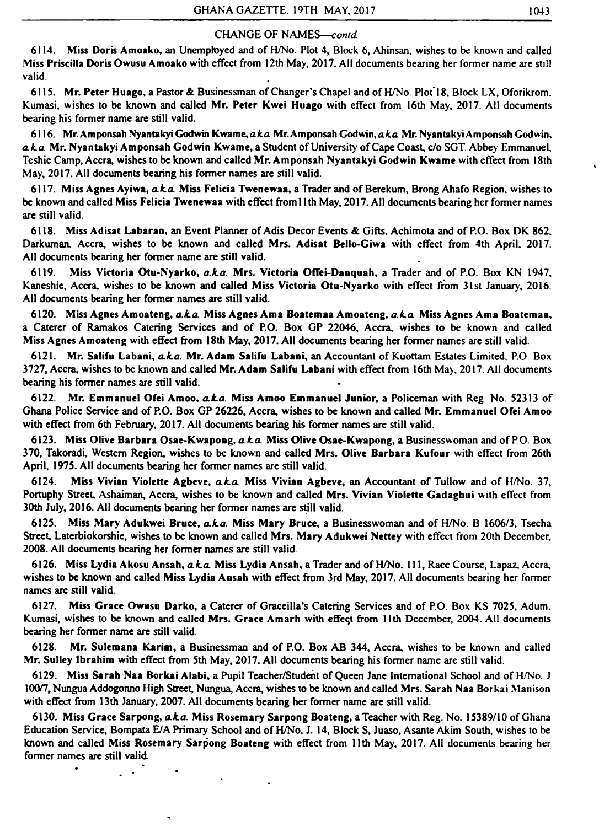6114. Miss Doris Amoako, an Unemployed and of H/No. Plot 4, Block 6, Ahinsan, wishes to be known and called Miss Priscilla Doris Owusu Amoako with effect from 12th May, 2017. All documents bearing her former name are still  $\blacksquare$ valid.  $\blacksquare$ 

# CHANGE OF NAMES—*contd.*

6115. Mr. Peter Huago, a Pastor & Businessman of Changer's Chapel and of H/No. Plot'18, Block LX, Oforikrom. Kumasi, wishes to be known and called Mr. Peter Kwei Huago with effect from 16th May, 2017. All documents bearing his former name arc still valid.

6116. Mr. Amponsah Nyantakyi Godwin Kwame, a ka Mr. Amponsah Godwin, a ka Mr. Nyantakyi Amponsah Godwin, *a k a .* Mr. Nyantakyi Amponsah Godwin Kwame, a Student of University of Cape Coast, c/o SGT. Abbey Emmanuel. Teshie Camp, Accra, wishes to be known and called Mr. Amponsah Nyantakyi Godwin Kwame with effect from 18th May, 2017. All documents bearing his former names are still valid.

6117. Miss Agnes Ayiwa, *a ka .* Miss Felicia Twenewaa, a Trader and of Berekum, Brong Ahafo Region, wishes to be known and called Miss Felicia Twenewaa with effect ffoml 1th May, 2017. All documents bearing her former names are still valid.

6118. Miss Adisat Labaran, an Event Planner of Adis Decor Events & Gifts, Achimota and of P.O. Box DK 862. Darkuman, Accra, wishes to be known and called Mrs. Adisat Bello-Giwa with effect from 4th April. 2017. All documents bearing her former name are still valid.

6119. Miss Victoria Otu-Nyarko, *a.ka.* Mrs. Victoria OfTei-Danquah, a Trader and of P.O. Box KN 1947. Kaneshie, Accra, wishes to be known and called Miss Victoria Otu-Nyarko with effect from 31st January, 2016. All documents bearing her former names are still valid.

6120. Miss Agnes Amoateng, *a.ka.* Miss Agnes Ama Boatemaa Amoateng, *a.ka.* Miss Agnes Ama Boatemaa, a Caterer of Ramakos Catering Services and of P.O. Box GP 22046, Accra, wishes to be known and called Miss Agnes Amoateng with effect from 18th May, 2017. All documents bearing her former names are still valid.

6121. Mr. Salifu Labani, *a k a .* Mr. Adam Salifu Labani, an Accountant of Kuottam Estates Limited, P.O. Box 3727, Accra, wishes to be known and called Mr. Adam Salifu Labani with effect from 16th May, 2017. All documents bearing his former names are still valid.

6122. Mr. Emmanuel Ofei Amoo, *a k a .* Miss Amoo Emmanuel Junior, a Policeman with Reg. No. 52313 of Ghana Police Service and of P.O. Box GP 26226, Accra, wishes to be known and called Mr. Emmanuel Ofei Amoo with effect from 6th February, 2017. All documents bearing his former names are still valid.

6123. Miss Olive Barbara Osae-Kwapong, *a.ka.* Miss Olive Osae-Kwapong, a Businesswoman and of P.O. Box 370, Takoradi, Western Region, wishes to be known and called Mrs. Olive Barbara Kufour with effect from 26th April, 1975. All documents bearing her former names are still valid.

6124. Miss Vivian Violette Agbeve, *a k a* Miss Vivian Agbeve, an Accountant of Tullow and of H/No. 37, Portuphy Street, Ashaiman, Accra, wishes to be known and called Mrs. Vivian Violette Gadagbui with effect from 30th July, 2016. All documents bearing her former names are still valid.

6125. Miss Mary Adukwei Bruce, *a k a .* Miss Mary Bruce, a Businesswoman and of H/No. B 1606/3, Tsecha Street, Laterbiokorshie, wishes to be known and called Mrs. Mary Adukwei Nettey with effect from 20th December, 2008. All documents bearing her former names are still valid.

 $\bullet$ 

6126. Miss Lydia Akosu Ansah, *a k a .* Miss Lydia Ansah, a Trader and of H/No. I ll, Race Course, Lapaz. Accra, wishes to be known and called Miss Lydia Ansah with effect from 3rd May, 2017. All documents bearing her former names are still valid.

6127. Miss Grace Owusu Darko, a Caterer of Graceilla's Catering Services and of P.O. Box KS 7025, Adum. Kumasi, wishes to be known and called Mrs. Grace Amarh with effect from 11th December, 2004. All documents bearing her former name are still valid.

6128 Mr. Sulemana Karim, a Businessman and of P.O. Box AB 344, Accra, wishes to be known and called Mr. Sulley Ibrahim with effect from 5th May, 2017. All documents bearing his former name are still valid.

6129. Miss Sarah Naa Borkai Alabi, a Pupil Teacher/Student of Queen Jane International School and of H/No. J 100/7, Nungua Addogonno High Street, Nungua, Accra, wishes to be known and called Mrs. Sarah Naa Borkai Manison with effect from 13th January, 2007. All documents bearing her former name are still valid.

6130. Miss Grace Sarpong, *a ka .* Miss Rosemary Sarpong Boateng, a Teacher with Reg. No. 15389/10 of Ghana Education Service, Bompata E/A Primary School and of H/No. J. 14, Block S, Juaso, Asante Akim South, wishes to be known and called Miss Rosemary Sarpong Boateng with effect from 11th May, 2017. All documents bearing her former names are still valid.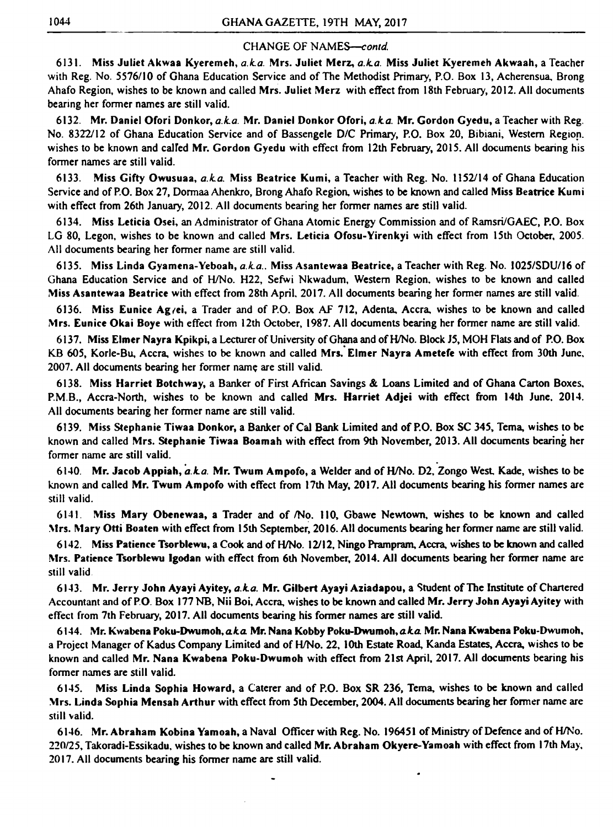6131. Miss Juliet Akwaa Kyeremeh, *a.La.* Mrs. Juliet Merz, *a.La.* Miss Juliet Kyeremeh Akwaah, a Teacher with Reg. No. 5576/10 of Ghana Education Service and of The Methodist Primary, P.O. Box 13, Acherensua, Brong Ahafo Region, wishes to be known and called Mrs. Juliet Merz with effect from 18th February, 2012. All documents bearing her former names are still valid.

6132. Mr. Daniel Ofori Donkor, *a.k.a.* Mr. Daniel Donkor Ofori, *a.k.a.* Mr. Gordon Gyedu, a Teacher with Reg. No. 8322/12 of Ghana Education Service and of Bassengele D/C Primary, P.O. Box 20, Bibiani, Western Region, wishes to be known and called Mr. Gordon Gyedu with effect from 12th February, 2015. All documents bearing his former names are still valid.

6135. Miss Linda Gyamena-Yeboah, *a.k.a.*. Miss Asantewaa Beatrice, a Teacher with Reg. No. 1025/SDU/16 of Ghana Education Service and of H/No. H22, Sefwi Nkwadum, Western Region, wishes to be known and called Miss Asantewaa Beatrice with effect from 28th April. 2017. All documents bearing her former names are still valid.

6133. Miss Gifty Owusuaa, *a.La.* Miss Beatrice Kumi, a Teacher with Reg. No. 1152/14 of Ghana Education Service and of P.O. Box 27, Dormaa Ahenkro, Brong Ahafo Region, wishes to be known and called Miss Beatrice Kumi with effect from 26th January, 2012. All documents bearing her former names are still valid.

6138. Miss Harriet Botchway, a Banker of First African Savings & Loans Limited and of Ghana Carton Boxes, P.M.B., Accra-North, wishes to be known and called Mrs. Harriet Adjei with effect from 14th June, 2014. All documents bearing her former name are still valid.

6134. Miss Leticia Osei, an Administrator of Ghana Atomic Energy Commission and of Ramsri/GAEC, P.O. Box LG 80, Legon, wishes to be known and called Mrs. Leticia Ofosu-Yirenkyi with effect from 15th October, 2005. All documents bearing her former name are still valid.

 $\ddot{\phantom{a}}$ 6140. Mr. Jacob Appiah, *a.La.* Mr. Twum Ampofo, a Welder and of H/No. D2, Zongo West, Kade, wishes to be known and called Mr. Twum Ampofo with effect from 17th May, 2017. All documents bearing his former names are still valid.

6136. Miss Eunice Ag/ei, a Trader and of P.O. Box AF 712, Adenta, Accra, wishes to be known and called Mrs. Eunice Okai Boye with effect from 12th October, 1987. All documents bearing her former name are still valid.

6137. Miss Elmer Nayra Kpikpi, a Lecturer of University of Ghana and of H/No. Block J5, MOH Flats and of P.O. Box KB 605, Korle-Bu, Accra, wishes to be known and called Mrs. Elmer Nayra Ametefe with effect from 30th June, 2007. All documents bearing her former name are still valid.

6139. Miss Stephanie Tiwaa Donkor, a Banker of Cal Bank Limited and of P.O. Box SC 345, Tema, wishes to be known and called Mrs. Stephanie Tiwaa Boamah with effect from 9th November, 2013. All documents bearing her former name are still valid.

6141. Miss Mary Obenewaa, a Trader and of /No. 110, Gbawe Newtown, wishes to be known and called Mrs. Mary Otti Boaten with effect from 15th September, 2016. All documents bearing her former name are still valid.

6142. Miss Patience Tsorblewu, a Cook and of H/No. 12/12, Ningo Prampram, Accra, wishes to be known and called Mrs. Patience Tsorblewu Igodan with effect from 6th November, 2014. All documents bearing her former name are

still valid

6143. Mr. Jerry John Ayayi Ayitey, *a.La.* Mr. Gilbert Ayayi Aziadapou, a Student of The Institute of Chartered Accountant and of P.O. Box 177 NB, Nii Boi, Accra, wishes to be known and called Mr. Jerry John Ayayi Ayitey with effect from 7th February, 2017. All documents bearing his former names are still valid.

6144. Mr. Kwabena Poku-Dwumoh, *a k a* Mr. Nana Kobby Poku-Dwumoh, *a k a* Mr. Nana Kwabena Poku-Dwumoh, a Project Manager of Kadus Company Limited and of H/No. 22, 10th Estate Road, Kanda Estates, Accra, wishes to be known and called Mr. Nana Kwabena Poku-Dwumoh with effect ffom 21st April, 2017. All documents bearing his former names are still valid.

6145. Miss Linda Sophia Howard, a Caterer and of P.O. Box SR 236, Tema, wishes to be known and called Mrs. Linda Sophia Mensah A rthur with effect from 5th December, 2004. All documents bearing her former name are still valid.

6146. Mr. Abraham Kobina Yamoah, a Naval Officer with Reg. No. 196451 of Ministry of Defence and of H/No. 220/25, Takoradi-Essikadu, wishes to be known and called Mr. Abraham Okyere-Yamoah with effect from 17th May, 2017. All documents bearing his former name are still valid.

 $\bullet$ 

 $\bullet$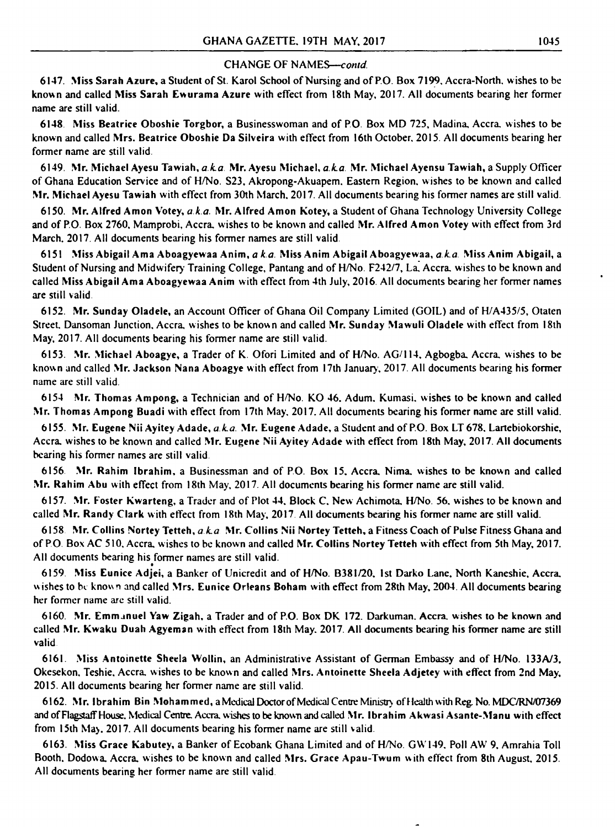6147. Miss Sarah Azure, a Student of St. Karol School of Nursing and of P.O. Box 7199. Accra-North, wishes to be known and called Miss Sarah Ewurama Azure with effect from 18th May, 2017. All documents bearing her former name are still valid.

6148. Miss Beatrice Oboshie Torgbor, a Businesswoman and of P.O. Box MD 725, Madina, Accra, wishes to be known and called Mrs. Beatrice Oboshie Da Silveira with effect from 16th October. 2015. All documents bearing her former name are still valid.

6149. Mr. Michael Ayesu Tawiah, *a k a* Mr. Ayesu Michael, *aka.* Mr. Michael Ayensu Tawiah, a Supply Officer of Ghana Education Service and of H/No. S23, Akropong-Akuapem. Eastern Region, w ishes to be known and called Mr. Michael Ayesu Tawiah with effect from 30th March. 2017. All documents bearing his former names are still valid.

6150. Mr. Alfred Amon Votey, *aka.* Mr. Alfred Amon Kotey, a Student of Ghana Technology University College and of P.O. Box 2760, Mamprobi, Accra, wishes to be known and called Mr. Alfred Amon Votey with effect from 3rd March. 2017. All documents bearing his former names are still valid.

6151 Miss Abigail Ama Aboagyewaa Anim, *a k a* Miss Anim Abigail Aboagyewaa, *aka* Miss Anim Abigail, a Student of Nursing and Midwifery Training College, Pantang and of H/No. F242/7, La. Accra, wishes to be known and called Miss Abigail Ama Aboagyewaa Anim with effect from 4th July, 2016. All documents bearing her former names are still valid

6157. Mr. Foster Kwarteng, a Trader and of Plot 44. Block C, New Achimota. H/No. 56, wishes to be known and called Mr. Randy Clark with effect from 18th May, 2017. All documents bearing his former name are still valid.

6152. Mr. Sunday Oladele, an Account Officer of Ghana Oil Company Limited (GOIL) and of H/A435/5, Otaten Street. Dansoman Junction. Accra, wishes to be known and called Mr. Sunday Mawuli Oladele with effect from 18th May, 2017. All documents bearing his former name are still valid.

 $\bullet$ 6159. Miss Eunice Adjei, a Banker of Unicredit and of H/No. B38I/20. 1st Darko Lane. North Kaneshie, Accra, wishes to be known and called Mrs. Eunice Orleans Boham with effect from 28th May, 2004. All documents bearing her former name are still valid.

6153. Mr. Michael Aboagye, a Trader of K. Ofori Limited and of H/No. AG/114, Agbogba. Accra, wishes to be known and called Mr. Jackson Nana Aboagye with effect from 17th January, 2017. All documents bearing his former name are still valid.

6162. Mr. Ibrahim Bin Mohammed, a Medical Doctor of Medical Centre Ministry of Health with Reg. No. MDC/RN/07369 and of Flagstaff House. Medical Centre. Accra, wishes to be known and called Mr. Ibrahim Akwasi Asante-Manu with effect from 15th May. 2017. All documents bearing his former name are still valid.

6154 Mr. Thomas Ampong, a Technician and of H/No. KO 46. Adum. Kumasi. wishes to be known and called Mr. Thomas Ampong Buadi with effect from 17th May, 2017. All documents bearing his former name are still valid.

6155. Mr. Eugene Nii Ayitey Adade, *a ka.* Mr. Eugene Adade, a Student and of P.O. Box LT 678. Lartebiokorshie, Accra, wishes to be known and called Mr. Eugene Nii Ayitey Adade with effect from 18th May, 2017. All documents bearing his former names are still valid.

6156. Mr. Rahim Ibrahim, a Businessman and of PO. Box 15. Accra. Nima. wishes to be known and called Mr. Rahim Abu with effect from 18th May, 2017. All documents bearing his former name are still valid.

6158 Mr. Collins N'ortey Tetteh, *a k a* Mr. Collins Nii Nortey Tetteh, a Fitness Coach of Pulse Fitness Ghana and of P.O. Box AC 510, Accra, wishes to be known and called Mr. Collins Nortey Tetteh with effect from 5th May, 2017. All documents bearing his former names are still valid.

6160. Mr. Emmanuel Yaw Zigah, a Trader and of P.O. Box DK 172. Darkuman. Accra, wishes to he known and called Mr. Kwaku Duah Agyeman with effect from 18th May. 2017. All documents bearing his former name are still valid

6161. Miss Antoinette Sheela Wollin, an Administrative Assistant of German Embassy and of H/No. 133A/3, Okesekon. Teshie. Accra, wishes to be known and called Mrs. Antoinette Sheela Adjetey with effect from 2nd May, 2015. All documents bearing her former name are still valid.

6163. Miss Grace Kabutey, a Banker of Ecobank Ghana Limited and of H/No. GW 149. Poll AW 9. Amrahia Toll Booth. Dodowa. Accra, wishes to be known and called Mrs. Grace Apau-Twum with effect from 8th August, 2015. All documents bearing her former name are still valid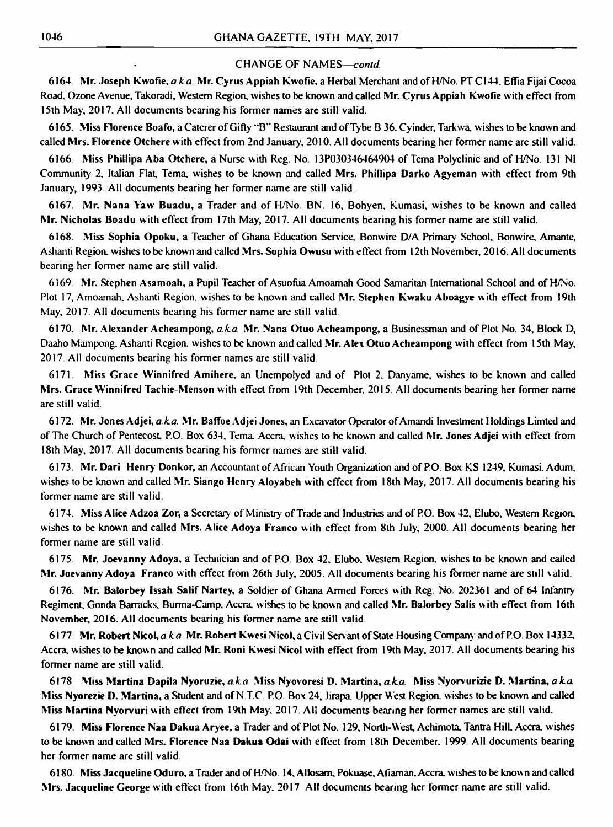6165. Miss Florence Boafo, a Caterer of Gifty "B" Restaurant and of Tybe B 36. Cyinder, Tarkwa, wishes to be known and called Mrs. Florence Otchere with effect from 2nd January, 2010. All documents bearing her former name are still valid.

6164. Mr. Joseph Kwofie, *a k a* Mr. Cyrus Appiah Kwofie, a Herbal Merchant and of H/No. PT C144, Effia Fijai Cocoa Road. Ozone Avenue, Takoradi. Western Region, wishes to be known and called Mr. Cyrus Appiah Kwofie with effect from 15th May, 2017. All documents bearing his former names arc still valid.

6166. Miss Phillipa Aba Otchere, a Nurse w ith Reg. No. 13P030346464904 of Tema Polyclinic and of H/No. 131 NI Community 2. Italian Flat, Tema. wishes to be known and called Mrs. Phillipa Darko Agyeman with effect from 9th January, 1993. All documents bearing her former name are still valid.

6167. Mr. Nana Yaw Buadu, a Trader and of H/No. BN. 16, Bohyen. Kumasi, wishes to be known and called Mr. Nicholas Boadu with effect from 17th May, 2017. All documents bearing his former name are still valid.

6168. Miss Sophia Opoku, a Teacher of Ghana Education Service. Bonwire D/A Primary School. Bonwire. Amante, Ashanti Region, wishes to be known and called Mrs. Sophia Owusu with effect from 12th November, 2016. All documents bearing her former name are still valid.

6173. Mr. Dari Henry Donkor, an Accountant of African Youth Organization and of P.O. Box KS 1249, Kumasi, Adum, wishes to be known and called Mr. Siango Henry Aloyabeh with effect from 18th May, 2017. All documents bearing his former name are still valid.

6169. Mr. Stephen Asamoah, a Pupil Teacher of Asuofiia Amoamah Good Samaritan International School and of H/No. Plot 17, Amoamah. Ashanti Region, wishes to be known and called Mr. Stephen Kwaku Aboagye w ith effect from 19th May, 2017. All documents bearing his former name are still valid.

6170. Mr. Alexander Acheampong, *a ka.* Mr. Nana Otuo Acheampong, a Businessman and of Plot No. 34, Block D, Daaho Mampong. Ashanti Region, wishes to be known and called Mr. Alex Otuo Acheampong with effect from 15th May, 2017 All documents bearing his former names are still valid.

6177. Mr. Robert Nicol, a.k.a Mr. Robert Kwesi Nicol, a Civil Servant of State Housing Company and of P.O. Box 14332. Accra, wishes to be known and called Mr. Roni Kwesi Nicol with effect from 19th May, 2017. All documents bearing his former name are still valid.

6171 Miss Grace Winnifred Amihere, an Unempolyed and of Plot 2. Danyame, wishes to be known and called Mrs. Grace Winnifred Tachie-Menson with effect from 19th December. 2015. All documents bearing her former name are still valid.

6172. Mr. Jones Adjei, *a ka* Mr. Baffoe Adjei Jones, an Excavator Operator of Amandi Investment Holdings Limted and of The Church of Pentecost, P.O. Box 634, Tema, Accra, w ishes to be known and called Mr. Jones Adjei w ith effect from 18th May, 2017. All documents bearing his former names are still valid.

6174. Miss Alice Adzoa Zor, a Secretary of Ministry of Trade and Industries and of P.O. Box 42, Elubo, Western Region, wishes to be known and called Mrs. Alice Adoya Franco with effect from 8th July, 2000. All documents bearing her former name are still valid.

6175. Mr. Joevanny Adoya, a Technician and of P.O. Box 42, Elubo, Western Region, wishes to be known and called

Mr. Joevanny Adoya Franco with effect from 26th July, 2005. All documents bearing his former name are still valid.

6176. Mr. Balorbey Issah Salif Nartey, a Soldier of Ghana Armed Forces with Reg. No. 202361 and of 64 Infantry Regiment, Gonda Barracks, Burma-Camp, Accra, wishes to be known and called Mr. Balorbey Salis with effect from 16th November, 2016. All documents bearing his former name are still valid.

6178 Miss Martina Dapila Nyoruzie, *a k a* Miss Nyovoresi D. Martina, *a ka* Miss Nyorvurizie D. Martina, *a k a* Miss Nyorezie D. Martina, a Student and of N T.C P.O. Box 24, Jirapa. Upper West Region, wishes to be known and called Miss Martina Nyorvuri with effect from 19th May. 2017. All documents bearing her former names arc still valid.

6179. Miss Florence Naa Dakua Aryee, a Trader and of Plot No. 129, North-West, Achimota. Tantra Hill. Accra, wishes to be known and called Mrs. Florence Naa Dakua Odai with effect from 18th December. 1999. All documents bearing her former name are still valid.

6180. Miss Jacqueline Oduro, a Trader and of H/No. 14, Allosam. Pokuase. Afiaman. Accra, wishes to be known and called Mrs. Jacqueline George with effect from 16th May. 2017 All documents bearing her former name are still valid.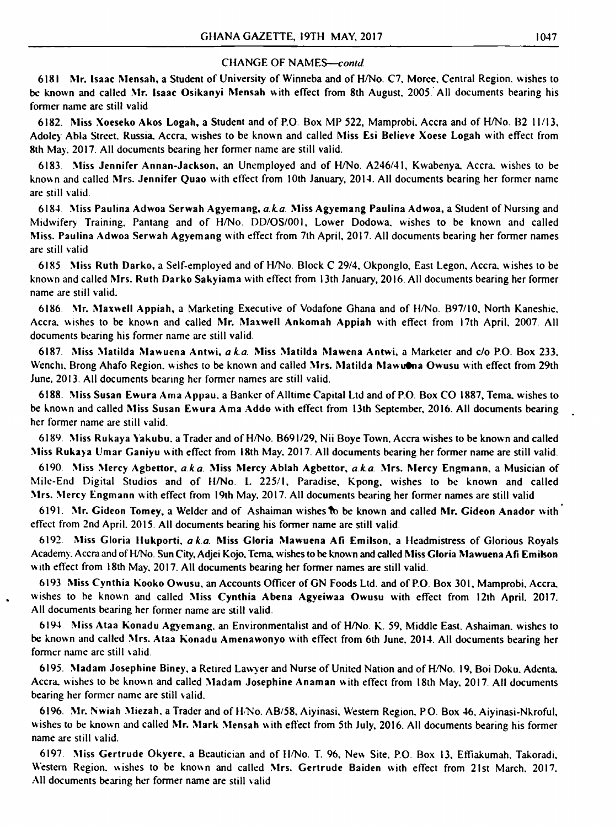6181 Mr. Isaac Mensah, a Student of University of Winneba and of H/No. C7, Moree. Central Region, wishes to be known and called Mr. Isaac Osikanyi Mensah with effect from 8th August. 2005. All documents bearing his former name are still valid

6182. Miss Xoeseko Akos Logah, a Student and of P.O. Box MP 522, Mamprobi, Accra and of H/No. B2 11/13, Adoley Abla Street. Russia. Accra, wishes to be known and called Miss Esi Believe Xoese Logah with effect from 8th May. 2017. All documents bearing her former name are still valid.

6185 Miss Ruth Darko, a Self-employed and of H/No. Block C 29/4, Okponglo, East Legon, Accra, wishes to be known and called Mrs. Ruth Darko Sakyiama with effect from 13th January, 2016. All documents bearing her former name are still valid.

6183 Miss Jennifer Annan-Jackson, an Unemployed and of H/No. A246/41, Kwabenya, Accra, wishes to be known and called Mrs. Jennifer Quao with effect from 10th January, 2014. All documents bearing her former name are still valid

6184 Miss Paulina Adwoa Serwah Agyemang, *a k a* Miss Agyemang Paulina Adwoa, a Student of Nursing and Midwifery Training, Pantang and of H/No. DD/OS/001, Lower Dodowa, wishes to be known and called Miss. Paulina Adwoa Serwah Agyemang with effect from 7th April, 2017. All documents bearing her former names are still valid

6189. Miss Rukaya Yakubu, a Trader and of H/No. B691/29, Nii Boye Town, Accra wishes to be known and called Miss Rukaya Umar Ganiyu with effect from 18th May. 2017. All documents bearing her former name are still valid.

6190 Miss Mercy Agbettor, *a k a.* Miss Mercy Ablah Agbettor, *a k.a.* Mrs. Mercy Engmann, a Musician of Mile-End Digital Studios and of H/No. L 225/1, Paradise, Kpong, wishes to be known and called Mrs. Mercy Engmann with effect from 19th May, 2017. All documents bearing her former names are still valid

6191. Mr. Gideon Tomey, a Welder and of Ashaiman wishes to be known and called Mr. Gideon Anador with effect from 2nd April. 2015 All documents bearing his former name arc still valid

6192. Miss Gloria Hukporti, *a k a* Miss Gloria Mawuena Afi Emilson, a Headmistress of Glorious Royals Academy. Accra and of H/No. Sun City, Adjei Kojo, Tema, wishes to be known and called Miss Gloria Mawuena Afi Emilson with effect from 18th May, 2017. All documents bearing her former names are still valid.

6186 Mr. Maxwell Appiah, a Marketing Executive of Vodafone Ghana and of H/No. B97/10, North Kaneshie. Accra, wishes to be known and called Mr. Maxwell Ankomah Appiah with effect from 17th April, 2007. All documents bearing his former name are still valid.

6187. Miss Matilda Mawuena Antwi, *aka.* Miss Matilda Mawena Antwi, a Marketer and *c/o* P.O. Box 233. Wenchi, Brong Ahafo Region, wishes to be known and called Mrs. Matilda Mawut na Owusu with effect from 29th June, 2013. All documents bearing her former names are still valid.

6188. Miss Susan Ewura Ama Appau. a Banker of Alltime Capital Ltd and of P.O. Box CO 1887, Tema. wishes to be known and called Miss Susan Ewura Ama Addo with effect from 13th September, 2016. All documents bearing her former name are still valid.

6197. Miss Gertrude Okyere, a Beautician and of H/No. T. 96, New Site, P.O. Box 13, Effiakumah, Takoradi, Western Region, wishes to be known and called Mrs. Gertrude Baiden with effect from 21st March, 2017. All documents bearing her former name are still valid

6193 Miss Cynthia kooko Owusu, an Accounts Officer of GN Foods Ltd. and of P.O. Box 301, Mamprobi, Accra, wishes to be known and called Miss Cynthia Abena Agyeiwaa Owusu with effect from 12th April. 2017. All documents bearing her former name arc still valid.

 $\bullet$ 

6194 Miss Ataa konadu Agyemang. an Environmentalist and of H/No. K. 59, Middle East, Ashaiman. wishes to be known and called Mrs. Ataa konadu Amenawonyo with effect from 6th June, 2014. All documents bearing her former name are still valid.

6195. Madam Josephine Biney, a Retired Lawyer and Nurse of United Nation and of H/No. 19, Boi Doku. Adenta, Accra, wishes to be known and called Madam Josephine Anaman with elfeci from 18th May, 2017. All documents bearing her former name are still valid.

6196. Mr. Nwiah Miezah, a Trader and of H/No. AB/58, Aiyinasi, Western Region. P.O. Box 46, Aiyinasi-Nkroful, wishes to be known and called Mr. Mark Mensah with effect from 5th July, 2016. All documents bearing his former name are still valid.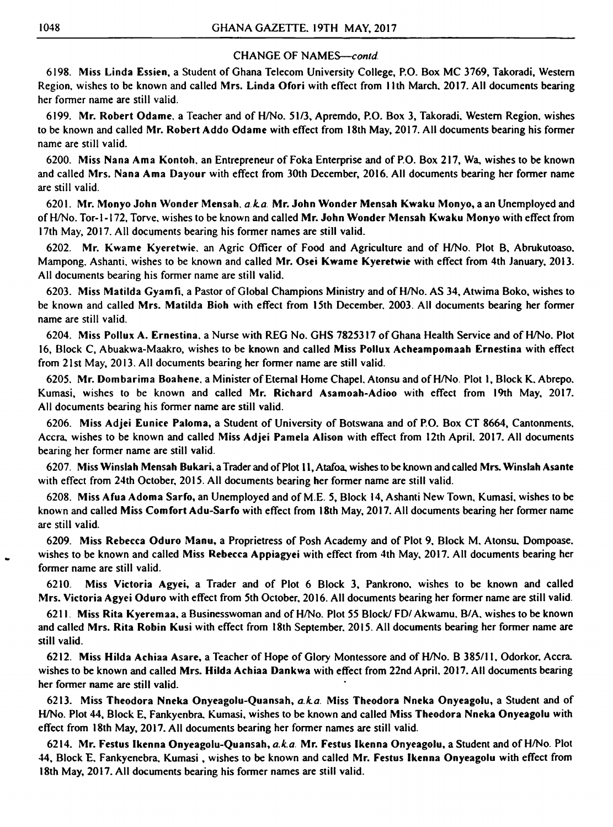6198. Miss Linda Essien, a Student of Ghana Telecom University College, P.O. Box MC 3769, Takoradi, Western Region, wishes to be known and called Mrs. Linda Ofori with effect from 11th March. 2017. All documents bearing her former name are still valid.

6199. Mr. Robert Odame. a Teacher and of H/No. 51/3, Apremdo, RO. Box 3, Takoradi. Western Region, wishes to be known and called Mr. Robert Addo Odame with effect from 18th May, 2017. All documents bearing his former name are still valid.

6200. Miss Nana Ama Kontoh, an Entrepreneur of Foka Enterprise and of P.O. Box 217, Wa, wishes to be known and called Mrs. Nana Ama Dayour with effect from 30th December, 2016. All documents bearing her former name are still valid.

6201. Mr. Monyo John Wonder Mensah, *aka.* Mr. John Wonder Mensah Kwaku Monyo, a an Unemployed and of H/No. Tor-1-172, Torve, wishes to be known and called Mr. John Wonder Mensah Kwaku Monyo with effect from 17th May, 2017. All documents bearing his former names are still valid.

6202. Mr. Kwame Kyeretwie. an Agric Officer of Food and Agriculture and of H/No. Plot B, Abrukutoaso, Mampong. Ashanti, wishes to be known and called Mr. Osei Kwame Kyeretwie with effect from 4th January, 2013. All documents bearing his former name are still valid.

6203. Miss Matilda Gyamfi, a Pastor of Global Champions Ministry and of H/No. AS 34, Atwima Boko, wishes to be known and called Mrs. Matilda Bioh with effect from 15th December. 2003. All documents bearing her former name are still valid.

6204. Miss Pollux A. Ernestina. a Nurse with REG No. GHS 7825317 of Ghana Health Service and of H/No. Plot 16, Block C, Abuakwa-Maakro, wishes to be known and called Miss Pollux Acheampomaah Ernestina with effect from 21st May, 2013. All documents bearing her former name are still valid.

6205. Mr. Dombarima Boahene. a Minister of Eternal Home Chapel. Atonsu and of H/No. Plot 1, Block K. Abrepo. Kumasi, wishes to be known and called Mr. Richard Asamoah-Adioo with effect from 19th May, 2017. All documents bearing his former name are still valid.

6206. Miss Adjei Eunice Paloma, a Student of University of Botswana and of P.O. Box CT 8664, Cantonments, Accra, wishes to be known and called Miss Adjei Pamela Alison with effect from 12th April. 2017. All documents bearing her former name are still valid.

6207. Miss Winslah Mensah Bukari, a Trader and of Plot ll,Atafoa, wishes to be known and called Mrs. Winslah Asante with effect from 24th October, 2015. All documents bearing her former name are still valid.

6208. Miss Afua Adoma Sarfo, an Unemployed and of M.E. 5, Block 14, Ashanti New Town, Kumasi, wishes to be known and called Miss Comfort Adu-Sarfo with effect from 18th May, 2017. All documents bearing her former name are still valid.

6209. Miss Rebecca Oduro Manu, a Proprietress of Posh Academy and of Plot 9, Block M. Atonsu. Dompoase. wishes to be known and called Miss Rebecca Appiagyei with effect from 4th May, 2017. All documents bearing her

former name are still valid.

6210. Miss Victoria Agyei, a Trader and of Plot 6 Block 3, Pankrono, wishes to be known and called Mrs. Victoria Agyei Oduro with effect from 5th October, 2016. All documents bearing her former name are still valid.

6211. Miss Rita Kyeremaa, a Businesswoman and of H/No. Plot 55 Block/ FD/ Akwamu. B/A, wishes to be known and called Mrs. Rita Robin Kusi with effect from 18th September. 2015. All documents bearing her former name are still valid.

6212. Miss Hilda Achiaa Asare, a Teacher of Hope of Glory Montessore and of H/No. B 385/11, Odorkor, Accra, wishes to be known and called Mrs. Hilda Achiaa Dankwa with effect from 22nd April, 2017. All documents bearing her former name are still valid.

6213. Miss Theodora Nneka Onyeagolu-Quansah, *a k a* Miss Theodora Nneka Onyeagolu, a Student and of H/No. Plot 44, Block E, Fankyenbra. Kumasi, wishes to be known and called Miss Theodora Nneka Onyeagolu with effect from 18th May, 2017. All documents bearing her former names are still valid.

6214. Mr. Festus Ikenna Onyeagolu-Quansah, *a.ka.* Mr. Festus Ikenna Onyeagolu, a Student and of H/No. Plot 44, Block E. Fankyenebra. Kumasi, wishes to be known and called Mr. Festus Ikenna Onyeagolu with effect from 18th May, 2017. All documents bearing his former names are still valid.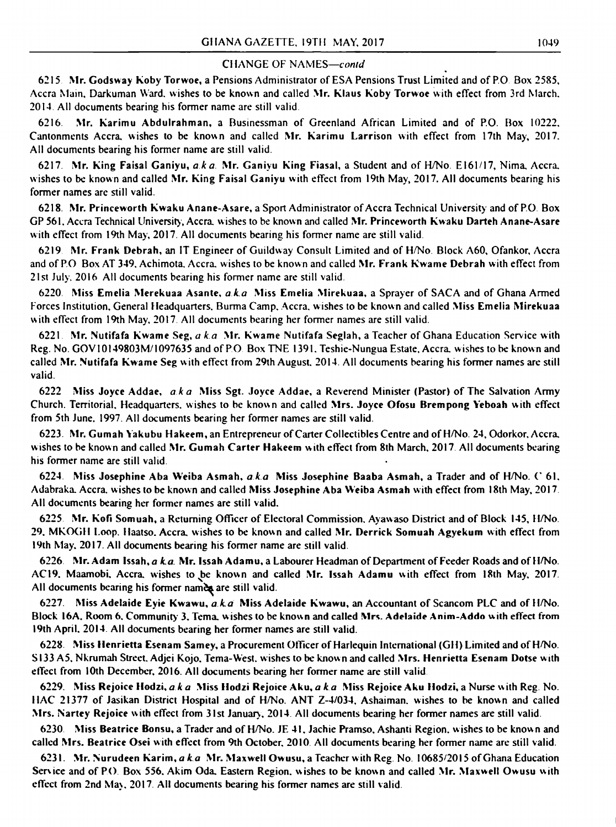«

AC19. Maamobi. Accra, wishes to be known and called Mr. Issah Adamu with effect from 18th May, 2017. All documents bearing his former names are still valid.

6215 Mr. Godsway Koby Torwoe, a Pensions Administrator of ESA Pensions Trust Limited and of P.O Box 2585, Accra Main, Darkuman Ward, wishes to be known and called Mr. Klaus Koby Torwoe with effect from 3rd March, 2014 All documents bearing his former name are still valid.

6216. Mr. Karimu Abdulrahman, a Businessman of Greenland African Limited and of P.O. Box 10222, Cantonments Accra, wishes to be known and called Mr. Karimu Larrison with effect from 17th May, 2017. All documents bearing his former name are still valid.

6217. Mr. King Faisal Ganiyu, *aka.* Mr. Ganiyu King Fiasal, a Student and of H/No. EI61/17, Nima, Accra, wishes to be known and called Mr. King Faisal Ganiyu with effect from 19th May, 2017. All documents bearing his former names are still valid.

6218. Mr. Princeworth Kwaku Anane-Asare, a Sport Administrator of Accra Technical University and of P.O Box GP 561, Accra Technical University, Accra, wishes to be known and called Mr. Princeworth Kwaku Darteh Anane-Asare with effect from 19th May, 2017. All documents bearing his former name are still valid.

6219 Mr. Frank Debrah, an IT Engineer of Guildway Consult Limited and of H/No. Block A60, Ofankor, Accra and of P.O Box AT 349. Achimota. Accra, wishes to be known and called Mr. Frank Kwame Debrah with effect from 21st July. 2016 All documents bearing his former name are still valid.

6220 Miss Emelia Merekuaa Asante, *a k a* Miss Emelia Mirekuaa, a Sprayer of SACA and of Ghana Armed Forces Institution, General Headquarters. Burma Camp, Accra, wishes to be known and called Miss Emelia Mirekuaa with effect from 19th May. 2017 All documents bearing her former names are still valid.

6221 Mr. Nutifafa Kwame Seg, *a k a* Mr. Kwame Nutifafa Seglah, a Teacher of Ghana Education Service with Reg. No. GOV10I49803M/I097635 and of PO Box TNE 1391. Teshie-Nungua Estate. Accra, wishes to be known and called Mr. Nutifafa Kwame Seg with effect from 29th August. 2014. All documents bearing his former names are still valid.

6230 Miss Beatrice Bonsu, a Trader and of H/No. JE 41. Jachie Pramso. Ashanti Region, wishes to be known and called Mrs. Beatrice Osei with effect from 9th October, 2010. All documents bearing her former name are still valid.

6222 Miss Joyce Addae, *aka* Miss Sgt. Joyce Addae, a Reverend Minister (Pastor) of The Salvation Army Church. Territorial. Headquarters, wishes to be known and called Mrs. Joyce Ofosu Brempong Yeboah with effect from 5th June. 1997. All documents bearing her former names are still valid.

6223. Mr. Gumah Yakubu Hakeem, an Entrepreneur of Carter Collectibles Centre and of H/No. 24, Odorkor, Accra, wishes to be known and called Mr. Gumah C arter Hakeem with effect from 8th March, 2017 All documents bearing his former name are still valid.

6224. Miss Josephine Aba Weiba Asmah, *a k a* Miss Josephine Baaba Asmah, a Trader and of H/No. C 61, Adabraka. Accra, wishes to be known and called Miss Josephine Aba Weiba Asmah with effect from 18th May, 2017 All documents bearing her former names are still valid.

6225 Mr. Kofi Somuah, a Returning Officer of Electoral Commission. Ayawaso District and of Block 145, H/No. 29, MKOGH Loop. Haatso. Accra, wishes to be known and called Mr. Derrick Somuah Agyekum with effect from 19th May. 2017. All documents bearing his former name are still valid.

6226. Mr. Adam Issah, a k.a. Mr. Issah Adamu, a Labourer Headman of Department of Feeder Roads and of H/No.

6227. Miss Adelaide Eyie Kwawu, *a k a* Miss Adelaide Kwawu, an Accountant of Scancom PLC and of H/No. Block I6A. Room 6. Community 3. Tema. wishes to be known and called Mrs. Adelaide Anim-Addo with effect from 19th April. 2014. All documents bearing her former names are still valid.

6228 Miss Henrietta Esenam Samey, a Procurement Officer of Harlequin International (GH) Limited and of H/No. SI33 A5. Nkrumah Street. Adjei Kojo. Tema-West, wishes to be known and called Mrs. Henrietta Esenam Dotse with effect from 10th December. 2016. All documents bearing her former name are still valid

6229. Miss Rejoice Hodzi, *a k a* Miss Hodzi Rejoice Aku, *a k a* Miss Rejoice Aku Hodzi, a Nurse with Reg. No. HAC 21377 of Jasikan District Hospital and of H/No. ANT Z-4/034, Ashaiman. wishes to be known and called Mrs. Nartey Rejoice with effect from 31st January. 2014. All documents bearing her former names are still valid.

6231. Mr. Nurudeen Karim, *aka* Mr. Maxwell Owusu, a Teacher with Reg. No. 10685/2015 of Ghana Education Service and of P.O. Box 556, Akim Oda. Eastern Region, wishes to be known and called Mr. Maxwell Owusu with effect from 2nd May. 2017. All documents bearing his former names are still valid.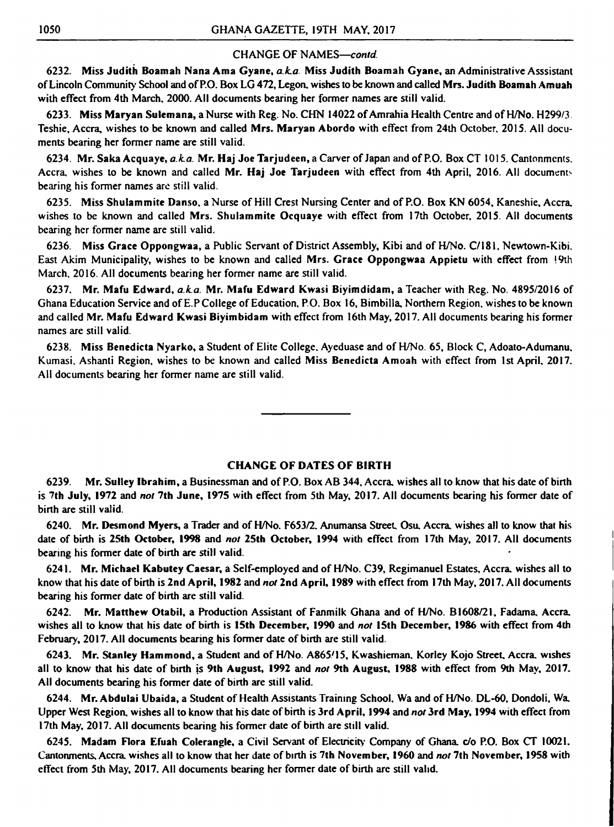6232. Miss Judith Boamah Nana Ama Gyane, *a.k.a.* Miss Judith Boamah Gyane, an Administrative Asssistant of Lincoln Community School and of P.O. Box LG 472, Legon. wishes to be known and called Mrs. Judith Boamah Amuah with effect from 4th March, 2000. All documents bearing her former names are still valid.

6233. Miss Maryan Sulemana, a Nurse with Reg. No. CHN 14022 of Amrahia Health Centre and of H/No. H299/3. Teshie, Accra, wishes to be known and called Mrs. Maryan Abordo with effect from 24th October. 2015. All documents bearing her former name are still valid.

6234. Mr. Saka Acquaye, *a.k.a.* Mr. Haj JoeTarjudeen, a Carver of Japan and of RO. BoxCT 1015. Cantonments. Accra, wishes to be known and called Mr. Haj Joe Tarjudeen with effect from 4th April, 2016. All documents bearing his former names are still valid.

6235. Miss Shulammite Danso. a Nurse of Hill Crest Nursing Center and of RO. Box KN 6054, Kaneshie, Accra, wishes to be known and called Mrs. Shulammite Ocquaye with effect from 17th October. 2015. All documents bearing her former name are still valid.

6236. Miss Grace Oppongwaa, a Public Servant of District Assembly, Kibi and of H/No. C/181. Newtown-Kibi. East Akim Municipality, wishes to be known and called Mrs. Grace Oppongwaa Appietu with effect from 19th March, 2016. All documents bearing her former name are still valid.

6237. Mr. Mafu Edward, *a.k.a.* Mr. Mafu Edward Kwasi Biyimdidam, a Teacher with Reg. No. 4895/2016 of Ghana Education Service and of E.PCollege of Education, P.O. Box 16, Bimbilla, Northern Region, wishes to be known and called Mr. Mafu Edward Kwasi Biyimbidam with effect from 16th May, 2017. All documents bearing his former names are still valid.

6238. Miss Benedicta Nyarko, a Student of Elite College, Ayeduase and of H/No. 65, Block C, Adoato-Adumanu. Kumasi. Ashanti Region, wishes to be known and called Miss Benedicta Amoah with effect from 1st April, 2017. All documents bearing her former name are still valid.

# CHANGE OF DATES OF BIRTH

6239. Mr. Sulley Ibrahim, a Businessman and of P.O. Box AB 344, Accra, wishes all to know that his date of birth is 7th July, 1972 and *not* 7th June, 1975 with effect from 5th May, 2017. All documents bearing his former date of birth are still valid.

6240. Mr. Desmond Myers, a Trader and of H/No. F653/2. Anumansa Street, Osu, Accra, wishes all to know that his date of birth is 25th October, 1998 and *not* 25th October, 1994 with effect from 17th May, 2017. All documents bearing his former date of birth are still valid.

6241. Mr. Michael Kabutey Caesar, a Self-employed and of H/No. C39, Regimanuel Estates, Accra, wishes all to know that his date of birth is 2nd April, 1982 and *not* 2nd April, 1989 with effect from 17th May, 2017. All documents bearing his former date of birth are still valid.

6242. Mr. Matthew Otabil, a Production Assistant of Fanmilk Ghana and of H/No. B1608/2I, Fadama, Accra, wishes all to know that his date of birth is 15th December, 1990 and *not* 15th December, 1986 with effect from 4th February, 2017. All documents bearing his former date of birth are still valid.

6243. Mr. Stanley Hammond, a Student and of H/No. A865/15, kwashieman. Korley Kojo Street, Accra, wishes all to know that his date of birth is 9th August, 1992 and *not* 9th August, 1988 with effect from 9th May, 2017. All documents bearing his former date of birth are still valid.

6244. Mr. Abdulai Ubaida, a Student of Health Assistants Training School. Wa and of H/No. DL-60, Dondoli, Wa. Upper West Region, wishes all to know that his date of birth is 3rd April, 1994 and *not* 3rd May, 1994 with effect from 17th May, 2017. All documents bearing his former date of birth are still valid.

6245. Madam Flora Efuah Colerangle, a Civil Servant of Electricity Company of Ghana, *c/o* P.O. Box CT 10021. Cantonments, Accra, wishes all to know that her date of birth is 7th November, 1960 and *not* 7th November, 1958 with effect from 5th May, 2017. All documents bearing her former date of birth arc still valid.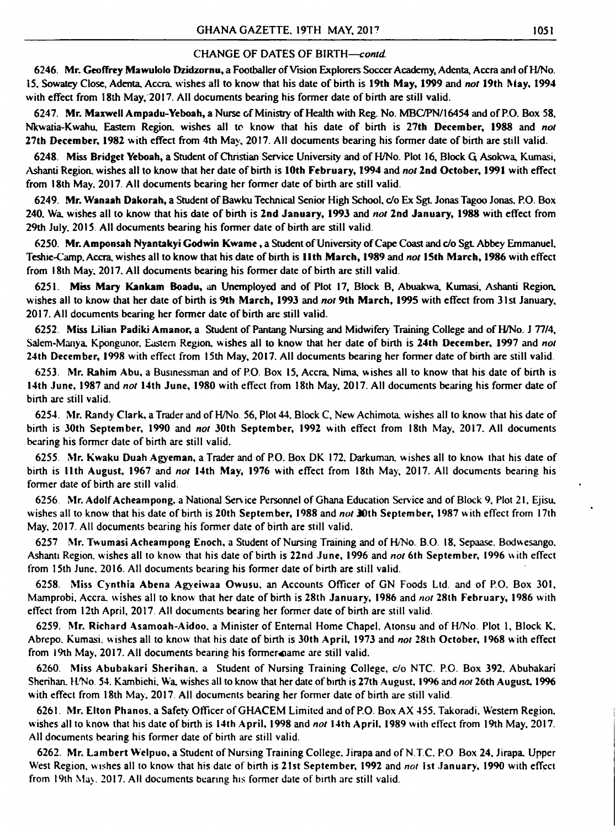6246. Mr. Geoffrey Mawuioio Dzidzornu, a Footballer of Vision Explorers Soccer Academy, Adenta, Accra and of H/No. 15. Sowatey Close, Adenta, Accra, wishes all to know that his date of birth is 19th May, 1999 and *not* 19th May, 1994 with effect from 18th May, 2017. All documents bearing his former date of birth are still valid.

# CHANGE OF DATES OF BIRTH—*contd.*

6247. Mr. Maxwell Ampadu-Yeboah, a Nurse of Ministry of Health with Reg. No. MBC/PN/16454 and of RO. Box 58, Nkwatia-Kwahu, Eastern Region, wishes all to know that his date of birth is 27th December, 1988 and *not* 27th December, 1982 with effect from 4th May, 2017. All documents bearing his former date of birth are still valid.

6248. Miss Bridget Yeboah, a Student of Christian Service University and of H/No. Plot 16, Block G Asokwa, Kumasi, Ashanti Region, wishes all to know that her date of birth is 10th February, 1994 and *not* 2nd October, 1991 with effect from 18th May. 2017. All documents bearing her former date of birth are still valid.

6249. Mr. Wanaah Dakorah, a Student of Bawku Technical Senior High School, *do* Ex SgL Jonas Tagoo Jonas. P.O. Box 240, Wa, wishes all to know that his date of birth is 2nd January, 1993 and *not* 2nd January, 1988 with effect from 29th July. 2015. All documents bearing his former date of birth are still valid.

6250. Mr. Amponsah Nyantakyi Godwin Kwame, a Student of University of Cape Coast and *do* SgL Abbey Emmanuel. Teshie-Camp, Accra, wishes all to know that his date of birth is U th March, 1989 and *not* 15th March, 1986 with effect from 18th May. 2017. All documents bearing his former date of birth are still valid.

6255. Mr. Kwaku Duah Agyeman, a Trader and of P.O. Box DK 172. Darkuman, wishes all to know that his date of birth is 11th August, 1967 and *not* 14th May, 1976 with effect from 18th May, 2017. All documents bearing his former date of birth are still valid.

6251. Miss Mary Kankam Boadu, an Unemployed and of Plot 17, Block B, Abuakwa, Kumasi, Ashanti Region, wishes all to know that her date of birth is 9th March, 1993 and *not* 9th March, 1995 with effect from 31st January, 2017. All documents bearing her former date of birth are still valid.

6259. Mr. Richard Asamoah-Aidoo. a Minister of Entemal Home Chapel. Atonsu and of H/No Plot 1, Block K, Abrepo. Kumasi. w ishes all to know that his date of birth is 30th April, 1973 and *not* 28th October, 1968 w ith effect from 19th May, 2017. All documents bearing his former anne are still valid.

6252. Miss Lilian Padiki Amanor, a Student of Pantang Nursing and Midwifery Training College and of H/No. J 77/4, Salem-Manya. Kpongunor, Eastern Region, wishes all to know that her date of birth is 24th December, 1997 and *not* 24th December, 1998 with effect from 15th May, 2017. All documents bearing her former date of birth are still valid.

6260. Miss Abubakari Sherihan. a Student of Nursing Training College, *d o* NTC. P.O. Box 392. Abubakari Sherihan. H/No. 54. Kambiehi. Wa. w ishes all to know that her date of birth is 27th August, 1996 and *not* 26th August 19% with effect from 18th May, 2017. All documents bearing her former date of birth are still valid.

6253. Mr. Rahim Abu, a Businessman and of P.O. Box 15, Accra, Nima. wishes all to know that his date of birth is 14th June, 1987 and *not* 14th June, 1980 with effect from 18th May, 2017. All documents bearing his former date of birth are still valid.

6254. Mr. Randy Clark, a Trader and of H/No. 56, Plot 44, Block C, New Achimota. wishes all to know that his date of birth is 30th September, 1990 and *not* 30th September, 1992 with effect from 18th May, 2017. All documents bearing his former date of birth are still valid.

6256 Mr. Adolf Acheampong, a National Service Personnel of Ghana Education Service and of Block 9, Plot 21, Ejisu. wishes all to know that his date of birth is 20th September, 1988 and *not* 30th September, 1987 with effect from 17th May, 2017. All documents bearing his former date of birth are still valid.

6257 Mr. Twumasi Acheampong Enoch, a Student of Nursing Training and of H/No. B.O. 18, Sepaase. Bodwesango. Ashanti Region, wishes all to know that his date of birth is 22nd June, 1996 and *not* 6th September, 1996 with effect

from 15th June. 2016. All documents bearing his former date of birth are still valid.

6258. Miss Cynthia Abena Agyeiwaa Owusu, an Accounts Officer of GN Foods Ltd. and of P.O. Box 301, Mamprobi, Accra, wishes all to know that her date of birth is 28th January, 1986 and *not* 28th February, 1986 with effect from 12th April, 2017. All documents bearing her former date of birth are still valid.

6261. Mr. Elton Phanos, a Safety Officer of GHACEM Limited and of P.O. Box AX 455. Takoradi. Western Region, wishes all to know that his date of birth is 14th April, 1998 and *not* 14th April, 1989 with effect from 19th May, 2017. All documents bearing his former date of birth are still valid.

6262. Mr. Lambert Welpuo, a Student of Nursing Training College. Jirapa and of N.T.C. P.O Box 24, Jirapa. Upper W'est Region, w ishes all to know that his date of birth is 21st September, 1992 and *not* 1st January, 1990 with effect from 19th May. 2017. All documents bearing his former date of birth are still valid.